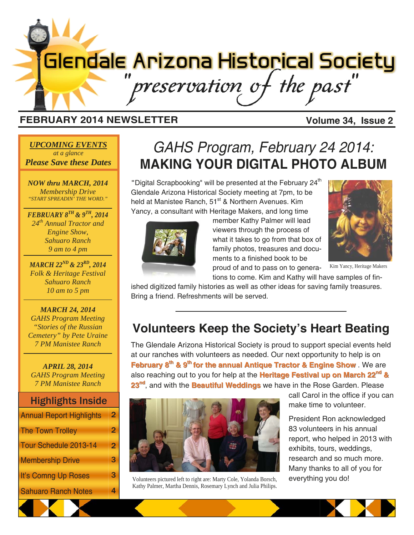# **Glendale Arizona Historical Society** preservation of the past"

## **FEBRUARY 2014 NEWSLETTER Volume 34, Issue 2**

#### *UPCOMING EVENTS at a glance Please Save these Dates*

*NOW thru MARCH, 2014 Membership Drive "START SPREADIN' THE WORD."* 

*FEBRUARY 8TH & 9TH, 2014 24th Annual Tractor and Engine Show, Sahuaro Ranch 9 am to 4 pm* 

*MARCH 22ND & 23RD, 2014 Folk & Heritage Festival Sahuaro Ranch 10 am to 5 pm* 

#### *MARCH 24, 2014 GAHS Program Meeting "Stories of the Russian Cemetery" by Pete Uraine 7 PM Manistee Ranch*

*APRIL 28, 2014 GAHS Program Meeting 7 PM Manistee Ranch* 

## Highlights Inside

| <b>Annual Report Highlights</b> | $\overline{2}$ |
|---------------------------------|----------------|
| The Town Trolley                | $\mathbf{2}$   |
| Tour Schedule 2013-14           | $\overline{2}$ |
| Membership Drive                | 3              |
| It's Comng Up Roses             | 3.             |
| <b>Sahuaro Ranch Notes</b>      |                |

## *GAHS Program, February 24 2014:*  **MAKING YOUR DIGITAL PHOTO ALBUM**

"Digital Scrapbooking" will be presented at the February 24<sup>th</sup> Glendale Arizona Historical Society meeting at 7pm, to be held at Manistee Ranch, 51<sup>st</sup> & Northern Avenues. Kim Yancy, a consultant with Heritage Makers, and long time



member Kathy Palmer will lead viewers through the process of what it takes to go from that box of family photos, treasures and documents to a finished book to be

proud of and to pass on to generations to come. Kim and Kathy will have samples of fin-

ished digitized family histories as well as other ideas for saving family treasures. Bring a friend. Refreshments will be served.

## **Volunteers Keep the Society's Heart Beating**

The Glendale Arizona Historical Society is proud to support special events held at our ranches with volunteers as needed. Our next opportunity to help is on **February 8<sup>th</sup> & 9<sup>th</sup> for the annual Antique Tractor & Engine Show** . We are also reaching out to you for help at the **Heritage Festival up on March 22<sup>nd</sup> & 23<sup>nd</sup>, and with the Beautiful Weddings** we have in the Rose Garden. Please



Volunteers pictured left to right are: Marty Cole, Yolanda Borsch, everything you do! Kathy Palmer, Martha Dennis, Rosemary Lynch and Julia Philips.

call Carol in the office if you can make time to volunteer.

President Ron acknowledged 83 volunteers in his annual report, who helped in 2013 with exhibits, tours, weddings, research and so much more. Many thanks to all of you for



Kim Yancy, Heritage Makers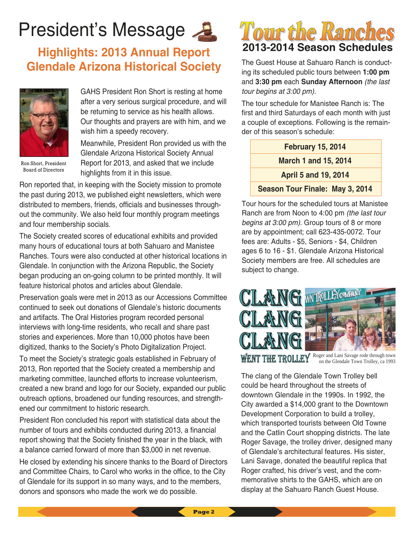## **President's Message**

## **Highlights: 2013 Annual Report Glendale Arizona Historical Society**



Ron Short, President Board of Directors

GAHS President Ron Short is resting at home after a very serious surgical procedure, and will be returning to service as his health allows. Our thoughts and prayers are with him, and we wish him a speedy recovery.

Meanwhile, President Ron provided us with the Glendale Arizona Historical Society Annual Report for 2013, and asked that we include highlights from it in this issue.

Ron reported that, in keeping with the Society mission to promote the past during 2013, we published eight newsletters, which were distributed to members, friends, officials and businesses throughout the community. We also held four monthly program meetings and four membership socials.

The Society created scores of educational exhibits and provided many hours of educational tours at both Sahuaro and Manistee Ranches. Tours were also conducted at other historical locations in Glendale. In conjunction with the Arizona Republic, the Society began producing an on-going column to be printed monthly. It will feature historical photos and articles about Glendale.

Preservation goals were met in 2013 as our Accessions Committee continued to seek out donations of Glendale's historic documents and artifacts. The Oral Histories program recorded personal interviews with long-time residents, who recall and share past stories and experiences. More than 10,000 photos have been digitized, thanks to the Society's Photo Digitalization Project.

To meet the Society's strategic goals established in February of 2013, Ron reported that the Society created a membership and marketing committee, launched efforts to increase volunteerism, created a new brand and logo for our Society, expanded our public outreach options, broadened our funding resources, and strengthened our commitment to historic research.

President Ron concluded his report with statistical data about the number of tours and exhibits conducted during 2013, a financial report showing that the Society finished the year in the black, with a balance carried forward of more than \$3,000 in net revenue.

He closed by extending his sincere thanks to the Board of Directors and Committee Chairs, to Carol who works in the office, to the City of Glendale for its support in so many ways, and to the members, donors and sponsors who made the work we do possible.



The Guest House at Sahuaro Ranch is conducting its scheduled public tours between **1:00 pm**  and **3:30 pm** each **Sunday Afternoon** *(the last tour begins at 3:00 pm).* 

The tour schedule for Manistee Ranch is: The first and third Saturdays of each month with just a couple of exceptions. Following is the remainder of this season's schedule:

| <b>February 15, 2014</b>        |
|---------------------------------|
| <b>March 1 and 15, 2014</b>     |
| <b>April 5 and 19, 2014</b>     |
| Season Tour Finale: May 3, 2014 |

Tour hours for the scheduled tours at Manistee Ranch are from Noon to 4:00 pm *(the last tour begins at 3:00 pm).* Group tours of 8 or more are by appointment; call 623-435-0072. Tour fees are: Adults - \$5, Seniors - \$4, Children ages 6 to 16 - \$1. Glendale Arizona Historical Society members are free. All schedules are subject to change.



The clang of the Glendale Town Trolley bell could be heard throughout the streets of downtown Glendale in the 1990s. In 1992, the City awarded a \$14,000 grant to the Downtown Development Corporation to build a trolley, which transported tourists between Old Towne and the Catlin Court shopping districts. The late Roger Savage, the trolley driver, designed many of Glendale's architectural features. His sister, Lani Savage, donated the beautiful replica that Roger crafted, his driver's vest, and the commemorative shirts to the GAHS, which are on display at the Sahuaro Ranch Guest House.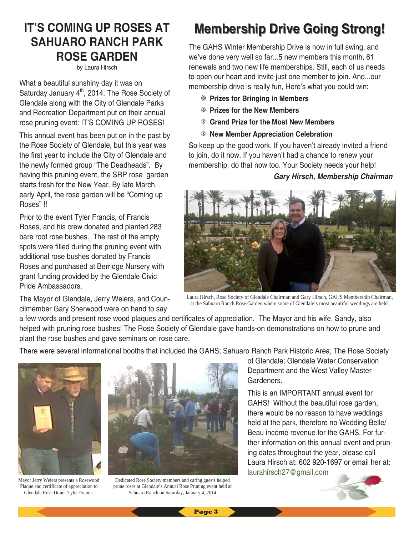## **IT'S COMING UP ROSES AT SAHUARO RANCH PARK ROSE GARDEN**

by Laura Hirsch

What a beautiful sunshiny day it was on Saturday January  $4<sup>th</sup>$ , 2014. The Rose Society of Glendale along with the City of Glendale Parks and Recreation Department put on their annual rose pruning event: IT'S COMING UP ROSES!

This annual event has been put on in the past by the Rose Society of Glendale, but this year was the first year to include the City of Glendale and the newly formed group "The Deadheads". By having this pruning event, the SRP rose garden starts fresh for the New Year. By late March, early April, the rose garden will be "Coming up Roses" !!

Prior to the event Tyler Francis, of Francis Roses, and his crew donated and planted 283 bare root rose bushes. The rest of the empty spots were filled during the pruning event with additional rose bushes donated by Francis Roses and purchased at Berridge Nursery with grant funding provided by the Glendale Civic Pride Ambassadors.

The Mayor of Glendale, Jerry Weiers, and Councilmember Gary Sherwood were on hand to say

## **Membership Drive Going Strong! Membership Drive Going Strong!**

The GAHS Winter Membership Drive is now in full swing, and we've done very well so far...5 new members this month, 61 renewals and two new life memberships. Still, each of us needs to open our heart and invite just one member to join. And...our membership drive is really fun, Here's what you could win:

- **Prizes for Bringing in Members**
- **Prizes for the New Members**
- **Grand Prize for the Most New Members**
- **New Member Appreciation Celebration**

So keep up the good work. If you haven't already invited a friend to join, do it now. If you haven't had a chance to renew your membership, do that now too. Your Society needs your help!

#### *Gary Hirsch, Membership Chairman*



Laura Hirsch, Rose Society of Glendale Chairman and Gary Hirsch, GAHS Membership Chairman, at the Sahuaro Ranch Rose Garden where some of Glendale's most beautiful weddings are held.

a few words and present rose wood plaques and certificates of appreciation. The Mayor and his wife, Sandy, also helped with pruning rose bushes! The Rose Society of Glendale gave hands-on demonstrations on how to prune and plant the rose bushes and gave seminars on rose care.

There were several informational booths that included the GAHS; Sahuaro Ranch Park Historic Area; The Rose Society



Mayor Jerry Weiers presents a Rosewood Plaque and certificate of appreciation to Glendale Rose Donor Tyler Francis



Dedicated Rose Society members and caring guests helped prune roses at Glendale's Annual Rose Pruning event held at Sahuaro Ranch on Saturday, January 4, 2014

of Glendale; Glendale Water Conservation Department and the West Valley Master Gardeners.

This is an IMPORTANT annual event for GAHS! Without the beautiful rose garden, there would be no reason to have weddings held at the park, therefore no Wedding Belle/ Beau income revenue for the GAHS. For further information on this annual event and pruning dates throughout the year, please call Laura Hirsch at: 602 920-1697 or email her at: laurahirsch27@gmail.com